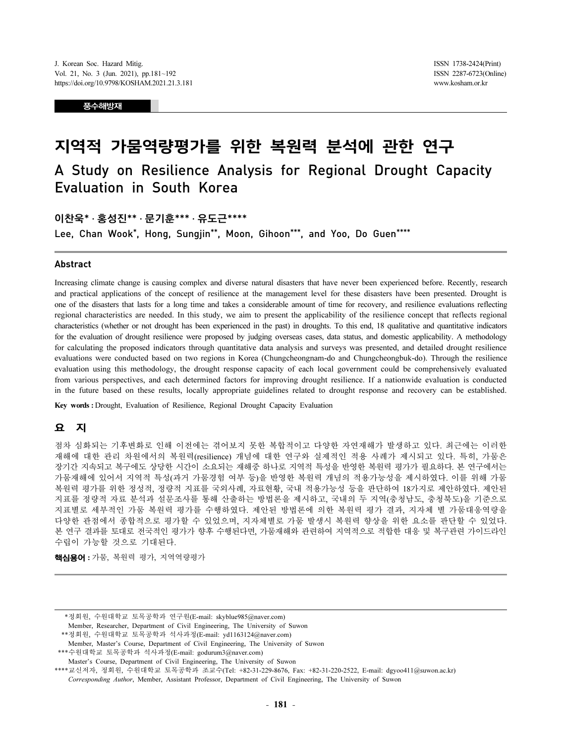풍수해방재

# 지역적 가뭄역량평가를 위한 복원력 분석에 관한 연구

# A Study on Resilience Analysis for Regional Drought Capacity Evaluation in South Korea

## 이찬욱\* · 홍성진\*\* · 문기훈\*\*\* · 유도근\*\*\*\*

Lee, Chan Wook\*, Hong, Sungjin\*\*, Moon, Gihoon\*\*\*, and Yoo, Do Guen\*\*\*\*

#### Abstract

Increasing climate change is causing complex and diverse natural disasters that have never been experienced before. Recently, research and practical applications of the concept of resilience at the management level for these disasters have been presented. Drought is one of the disasters that lasts for a long time and takes a considerable amount of time for recovery, and resilience evaluations reflecting regional characteristics are needed. In this study, we aim to present the applicability of the resilience concept that reflects regional characteristics (whether or not drought has been experienced in the past) in droughts. To this end, 18 qualitative and quantitative indicators for the evaluation of drought resilience were proposed by judging overseas cases, data status, and domestic applicability. A methodology for calculating the proposed indicators through quantitative data analysis and surveys was presented, and detailed drought resilience evaluations were conducted based on two regions in Korea (Chungcheongnam-do and Chungcheongbuk-do). Through the resilience evaluation using this methodology, the drought response capacity of each local government could be comprehensively evaluated from various perspectives, and each determined factors for improving drought resilience. If a nationwide evaluation is conducted in the future based on these results, locally appropriate guidelines related to drought response and recovery can be established.

Key words : Drought, Evaluation of Resilience, Regional Drought Capacity Evaluation

## 요 지

점차 심화되는 기후변화로 인해 이전에는 겪어보지 못한 복합적이고 다양한 자연재해가 발생하고 있다. 최근에는 이러한 재해에 대한 관리 차원에서의 복원력(resilience) 개념에 대한 연구와 실제적인 적용 사례가 제시되고 있다. 특히, 가뭄은 장기간 지속되고 복구에도 상당한 시간이 소요되는 재해중 하나로 지역적 특성을 반영한 복원력 평가가 필요하다. 본 연구에서는 가뭄재해에 있어서 지역적 특성(과거 가뭄경험 여부 등)을 반영한 복원력 개념의 적용가능성을 제시하였다. 이를 위해 가뭄 복원력 평가를 위한 정성적, 정량적 지표를 국외사례, 자료현황, 국내 적용가능성 등을 판단하여 18가지로 제안하였다. 제안된 지표를 정량적 자료 분석과 설문조사를 통해 산출하는 방법론을 제시하고, 국내의 두 지역(충청남도, 충청북도)을 기준으로 지표별로 세부적인 가뭄 복원력 평가를 수행하였다. 제안된 방법론에 의한 복원력 평가 결과, 지자체 별 가뭄대응역량을 다양한 관점에서 종합적으로 평가할 수 있었으며, 지자체별로 가뭄 발생시 복원력 향상을 위한 요소를 판단할 수 있었다. 본 연구 결과를 토대로 전국적인 평가가 향후 수행된다면, 가뭄재해와 관련하여 지역적으로 적합한 대응 및 복구관련 가이드라인 수립이 가능할 것으로 기대된다.

**핵심용어** : 가뭄, 복원력 평가, 지역역량평가

\*\*정회원, 수원대학교 토목공학과 석사과정(E-mail: yd1163124@naver.com)

\*\*\*수원대학교 토목공학과 석사과정(E-mail: godurum3@naver.com)

<sup>\*</sup>정회원, 수원대학교 토목공학과 연구원(E-mail: skyblue985@naver.com)

Member, Researcher, Department of Civil Engineering, The University of Suwon

Member, Master's Course, Department of Civil Engineering, The University of Suwon

Master's Course, Department of Civil Engineering, The University of Suwon

<sup>\*\*\*\*</sup>교신저자, 정회원, 수원대학교 토목공학과 조교수(Tel: +82-31-229-8676, Fax: +82-31-220-2522, E-mail: dgyoo411@suwon.ac.kr) Corresponding Author, Member, Assistant Professor, Department of Civil Engineering, The University of Suwon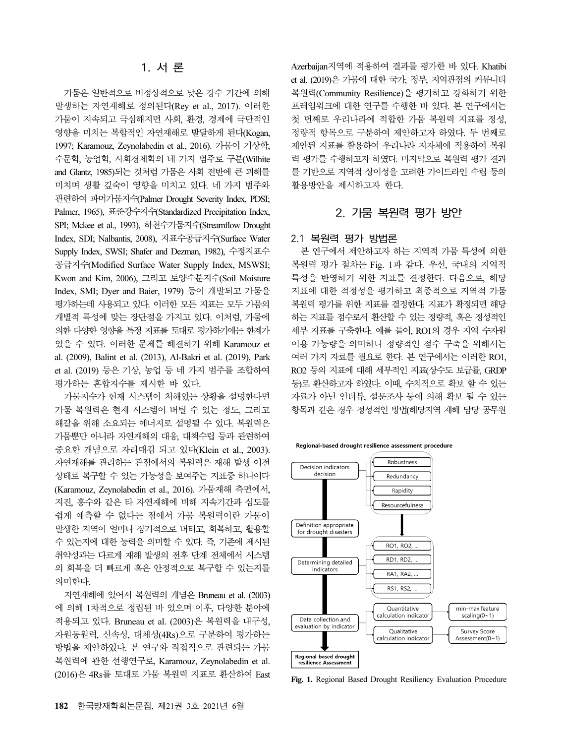가뭄은 일반적으로 비정상적으로 낮은 강수 기간에 의해 발생하는 자연재해로 정의된다(Rey et al., 2017). 이러한 가뭄이 지속되고 극심해지면 사회, 환경, 경제에 극단적인 영향을 미치는 복합적인 자연재해로 발달하게 된다(Kogan, 1997; Karamouz, Zeynolabedin et al., 2016). 가뭄이 기상학, 수문학, 농업학, 사회경제학의 네 가지 범주로 구분(Wilhite and Glantz, 1985)되는 것처럼 가뭄은 사회 전반에 큰 피해를 미치며 생활 깊숙이 영향을 미치고 있다. 네 가지 범주와 관련하여 파머가뭄지수(Palmer Drought Severity Index, PDSI; Palmer, 1965), 표준강수지수(Standardized Precipitation Index, SPI; Mckee et al., 1993), 하천수가뭄지수(Streamflow Drought Index, SDI; Nalbantis, 2008), 지표수공급지수(Surface Water Supply Index, SWSI; Shafer and Dezman, 1982), 수정지표수 공급지수(Modified Surface Water Supply Index, MSWSI; Kwon and Kim, 2006), 그리고 토양수분지수(Soil Moisture Index, SMI; Dyer and Baier, 1979) 등이 개발되고 가뭄을 평가하는데 사용되고 있다. 이러한 모든 지표는 모두 가뭄의 개별적 특성에 맞는 장단점을 가지고 있다. 이처럼, 가뭄에 의한 다양한 영향을 특정 지표를 토대로 평가하기에는 한계가 있을 수 있다. 이러한 문제를 해결하기 위해 Karamouz et al. (2009), Balint et al. (2013), Al-Bakri et al. (2019), Park et al. (2019) 등은 기상, 농업 등 네 가지 범주를 조합하여 평가하는 혼합지수를 제시한 바 있다.

가뭄지수가 현재 시스템이 처해있는 상황을 설명한다면 가뭄 복원력은 현재 시스템이 버틸 수 있는 정도, 그리고 해갈을 위해 소요되는 에너지로 설명될 수 있다. 복원력은 가뭄뿐만 아니라 자연재해의 대응, 대책수립 등과 관련하여 중요한 개념으로 자리매김 되고 있다(Klein et al., 2003). 자연재해를 관리하는 관점에서의 복원력은 재해 발생 이전 상태로 복구할 수 있는 가능성을 보여주는 지표중 하나이다 (Karamouz, Zeynolabedin et al., 2016). 가뭄재해 측면에서, 지진, 홍수와 같은 타 자연재해에 비해 지속기간과 심도를 쉽게 예측할 수 없다는 점에서 가뭄 복원력이란 가뭄이 발생한 지역이 얼마나 장기적으로 버티고, 회복하고, 활용할 수 있는지에 대한 능력을 의미할 수 있다. 즉, 기존에 제시된 취약성과는 다르게 재해 발생의 전후 단계 전체에서 시스템 의 회복을 더 빠르게 혹은 안정적으로 복구할 수 있는지를 의미한다.

자연재해에 있어서 복원력의 개념은 Bruneau et al. (2003) 에 의해 1차적으로 정립된 바 있으며 이후, 다양한 분야에 적용되고 있다. Bruneau et al. (2003)은 복원력을 내구성, 자원동원력, 신속성, 대체성(4Rs)으로 구분하여 평가하는 방법을 제안하였다. 본 연구와 직접적으로 관련되는 가뭄 복원력에 관한 선행연구로, Karamouz, Zeynolabedin et al. (2016)은 4Rs를 토대로 가뭄 복원력 지표로 환산하여 East Azerbaijan지역에 적용하여 결과를 평가한 바 있다. Khatibi et al. (2019)은 가뭄에 대한 국가, 정부, 지역관점의 커뮤니티 복원력(Community Resilience)을 평가하고 강화하기 위한 프레임워크에 대한 연구를 수행한 바 있다. 본 연구에서는 첫 번째로 우리나라에 적합한 가뭄 복원력 지표를 정성, 정량적 항목으로 구분하여 제안하고자 하였다. 두 번째로 제안된 지표를 활용하여 우리나라 지자체에 적용하여 복원 력 평가를 수행하고자 하였다. 마지막으로 복원력 평가 결과 를 기반으로 지역적 상이성을 고려한 가이드라인 수립 등의 활용방안을 제시하고자 한다.

## 2. 가뭄 복원력 평가 방안

#### 2.1 복원력 평가 방법론

본 연구에서 제안하고자 하는 지역적 가뭄 특성에 의한 복원력 평가 절차는 Fig. 1과 같다. 우선, 국내의 지역적 특성을 반영하기 위한 지표를 결정한다. 다음으로, 해당 지표에 대한 적정성을 평가하고 최종적으로 지역적 가뭄 복원력 평가를 위한 지표를 결정한다. 지표가 확정되면 해당 하는 지표를 점수로서 환산할 수 있는 정량적, 혹은 정성적인 세부 지표를 구축한다. 예를 들어, RO1의 경우 지역 수자원 이용 가능량을 의미하나 정량적인 점수 구축을 위해서는 여러 가지 자료를 필요로 한다. 본 연구에서는 이러한 RO1, RO2 등의 지표에 대해 세부적인 지표(상수도 보급률, GRDP 등)로 환산하고자 하였다. 이때, 수치적으로 확보 할 수 있는 자료가 아닌 인터뷰, 설문조사 등에 의해 확보 될 수 있는 항목과 같은 경우 정성적인 방법(해당지역 재해 담당 공무원





Fig. 1. Regional Based Drought Resiliency Evaluation Procedure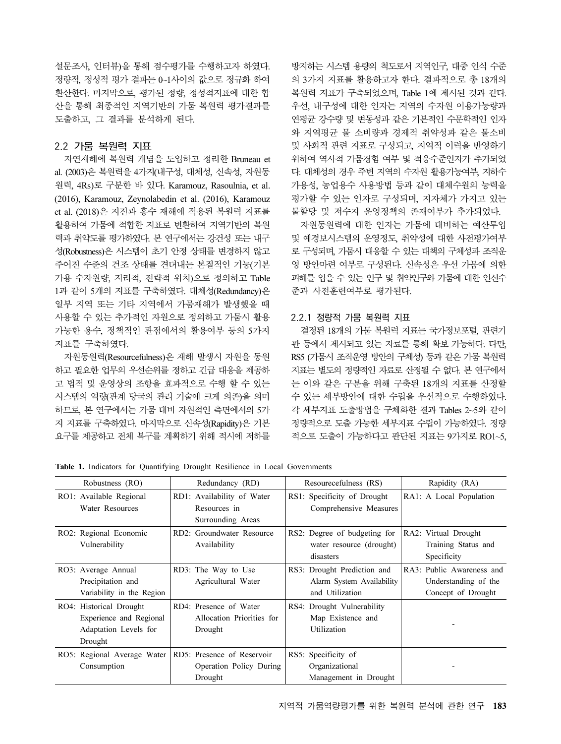설문조사, 인터뷰)을 통해 점수평가를 수행하고자 하였다. 정량적, 정성적 평가 결과는 0~1사이의 값으로 정규화 하여 환산한다. 마지막으로, 평가된 정량, 정성적지표에 대한 합 산을 통해 최종적인 지역기반의 가뭄 복원력 평가결과를 도출하고, 그 결과를 분석하게 된다.

#### 2.2 가뭄 복원력 지표

자연재해에 복원력 개념을 도입하고 정리한 Bruneau et al. (2003)은 복원력을 4가지(내구성, 대체성, 신속성, 자원동 원력, 4Rs)로 구분한 바 있다. Karamouz, Rasoulnia, et al. (2016), Karamouz, Zeynolabedin et al. (2016), Karamouz et al. (2018)은 지진과 홍수 재해에 적용된 복원력 지표를 활용하여 가뭄에 적합한 지표로 변환하여 지역기반의 복원 력과 취약도를 평가하였다. 본 연구에서는 강건성 또는 내구 성(Robustness)은 시스템이 초기 안정 상태를 변경하지 않고 주어진 수준의 건조 상태를 견뎌내는 본질적인 기능(기본 가용 수자원량, 지리적, 전략적 위치)으로 정의하고 Table 1과 같이 5개의 지표를 구축하였다. 대체성(Redundancy)은 일부 지역 또는 기타 지역에서 가뭄재해가 발생했을 때 사용할 수 있는 추가적인 자원으로 정의하고 가뭄시 활용 가능한 용수, 정책적인 관점에서의 활용여부 등의 5가지 지표를 구축하였다.

자원동원력(Resourcefulness)은 재해 발생시 자원을 동원 하고 필요한 업무의 우선순위를 정하고 긴급 대응을 제공하 고 법적 및 운영상의 조항을 효과적으로 수행 할 수 있는 시스템의 역량(관계 당국의 관리 기술에 크게 의존)을 의미 하므로, 본 연구에서는 가뭄 대비 자원적인 측면에서의 5가 지 지표를 구축하였다. 마지막으로 신속성(Rapidity)은 기본 요구를 제공하고 전체 복구를 계획하기 위해 적시에 저하를

방지하는 시스템 용량의 척도로서 지역인구, 대중 인식 수준 의 3가지 지표를 활용하고자 한다. 결과적으로 총 18개의 복원력 지표가 구축되었으며, Table 1에 제시된 것과 같다. 우선, 내구성에 대한 인자는 지역의 수자원 이용가능량과 연평균 강수량 및 변동성과 같은 기본적인 수문학적인 인자 와 지역평균 물 소비량과 경제적 취약성과 같은 물소비 및 사회적 관련 지표로 구성되고, 지역적 이력을 반영하기 위하여 역사적 가뭄경험 여부 및 적응수준인자가 추가되었 다. 대체성의 경우 주변 지역의 수자원 활용가능여부, 지하수 가용성, 농업용수 사용방법 등과 같이 대체수원의 능력을 평가할 수 있는 인자로 구성되며, 지자체가 가지고 있는 물할당 및 저수지 운영정책의 존재여부가 추가되었다.

자원동원력에 대한 인자는 가뭄에 대비하는 예산투입 및 예경보시스템의 운영정도, 취약성에 대한 사전평가여부 로 구성되며, 가뭄시 대응할 수 있는 대책의 구체성과 조직운 영 방안마련 여부로 구성된다. 신속성은 우선 가뭄에 의한 피해를 입을 수 있는 인구 및 취약인구와 가뭄에 대한 인신수 준과 사전훈련여부로 평가된다.

### 2.2.1 정량적 가뭄 복원력 지표

결정된 18개의 가뭄 복원력 지표는 국가정보포털, 관련기 관 등에서 제시되고 있는 자료를 통해 확보 가능하다. 다만, RS5 (가뭄시 조직운영 방안의 구체성) 등과 같은 가뭄 복원력 지표는 별도의 정량적인 자료로 산정될 수 없다. 본 연구에서 는 이와 같은 구분을 위해 구축된 18개의 지표를 산정할 수 있는 세부방안에 대한 수립을 우선적으로 수행하였다. 각 세부지표 도출방법을 구체화한 결과 Tables 2~5와 같이 정량적으로 도출 가능한 세부지표 수립이 가능하였다. 정량 적으로 도출이 가능하다고 판단된 지표는 9가지로 RO1~5,

| Robustness (RO)                                                                        | Redundancy (RD)                                                  | Resourceefulness (RS)                                                       | Rapidity (RA)                                                           |
|----------------------------------------------------------------------------------------|------------------------------------------------------------------|-----------------------------------------------------------------------------|-------------------------------------------------------------------------|
| RO1: Available Regional<br>Water Resources                                             | RD1: Availability of Water<br>Resources in<br>Surrounding Areas  | RS1: Specificity of Drought<br>Comprehensive Measures                       | RA1: A Local Population                                                 |
| RO2: Regional Economic<br>Vulnerability                                                | RD2: Groundwater Resource<br>Availability                        | RS2: Degree of budgeting for<br>water resource (drought)<br>disasters       | RA2: Virtual Drought<br>Training Status and<br>Specificity              |
| RO3: Average Annual<br>Precipitation and<br>Variability in the Region                  | RD3: The Way to Use<br>Agricultural Water                        | RS3: Drought Prediction and<br>Alarm System Availability<br>and Utilization | RA3: Public Awareness and<br>Understanding of the<br>Concept of Drought |
| RO4: Historical Drought<br>Experience and Regional<br>Adaptation Levels for<br>Drought | RD4: Presence of Water<br>Allocation Priorities for<br>Drought   | RS4: Drought Vulnerability<br>Map Existence and<br>Utilization              |                                                                         |
| RO5: Regional Average Water<br>Consumption                                             | RD5: Presence of Reservoir<br>Operation Policy During<br>Drought | RS5: Specificity of<br>Organizational<br>Management in Drought              |                                                                         |

Table 1. Indicators for Quantifying Drought Resilience in Local Governments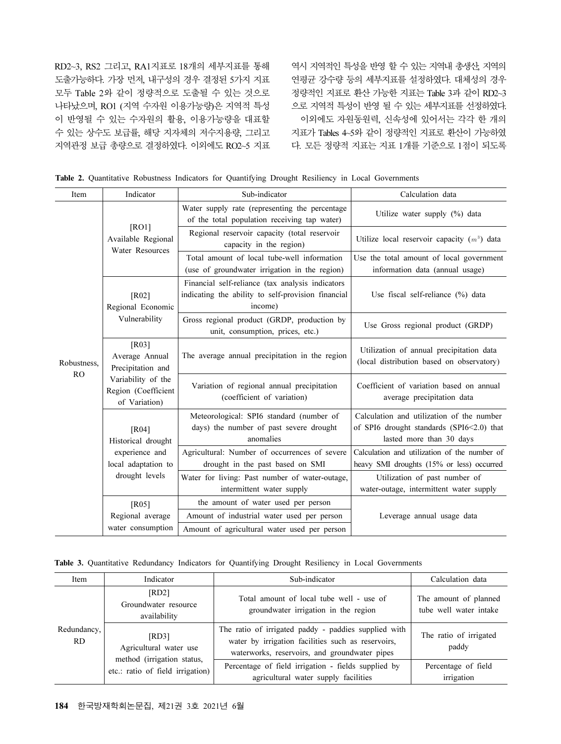RD2~3, RS2 그리고, RA1지표로 18개의 세부지표를 통해 도출가능하다. 가장 먼저, 내구성의 경우 결정된 5가지 지표 모두 Table 2와 같이 정량적으로 도출될 수 있는 것으로 나타났으며, RO1 (지역 수자원 이용가능량)은 지역적 특성 이 반영될 수 있는 수자원의 활용, 이용가능량을 대표할 수 있는 상수도 보급률, 해당 지자체의 저수지용량, 그리고 지역관정 보급 총량으로 결정하였다. 이외에도 RO2~5 지표

역시 지역적인 특성을 반영 할 수 있는 지역내 총생산, 지역의 연평균 강수량 등의 세부지표를 설정하였다. 대체성의 경우 정량적인 지표로 환산 가능한 지표는 Table 3과 같이 RD2~3 으로 지역적 특성이 반영 될 수 있는 세부지표를 선정하였다. 이외에도 자원동원력, 신속성에 있어서는 각각 한 개의 지표가 Tables 4~5와 같이 정량적인 지표로 환산이 가능하였 다. 모든 정량적 지표는 지표 1개를 기준으로 1점이 되도록

|  |  |  |  |  |  |  |  |  |  | Table 2. Quantitative Robustness Indicators for Quantifying Drought Resiliency in Local Governments |
|--|--|--|--|--|--|--|--|--|--|-----------------------------------------------------------------------------------------------------|
|--|--|--|--|--|--|--|--|--|--|-----------------------------------------------------------------------------------------------------|

| Item        | Indicator                                                  | Sub-indicator                                                                                                     | Calculation data                                                                                                   |  |  |
|-------------|------------------------------------------------------------|-------------------------------------------------------------------------------------------------------------------|--------------------------------------------------------------------------------------------------------------------|--|--|
|             |                                                            | Water supply rate (representing the percentage<br>of the total population receiving tap water)                    | Utilize water supply (%) data                                                                                      |  |  |
|             | [RO1]<br>Available Regional<br>Water Resources             | Regional reservoir capacity (total reservoir<br>capacity in the region)                                           | Utilize local reservoir capacity $(m^3)$ data                                                                      |  |  |
| Robustness, |                                                            | Total amount of local tube-well information<br>(use of groundwater irrigation in the region)                      | Use the total amount of local government<br>information data (annual usage)                                        |  |  |
|             | [R02]<br>Regional Economic                                 | Financial self-reliance (tax analysis indicators<br>indicating the ability to self-provision financial<br>income) | Use fiscal self-reliance (%) data                                                                                  |  |  |
|             | Vulnerability                                              | Gross regional product (GRDP, production by<br>unit, consumption, prices, etc.)                                   | Use Gross regional product (GRDP)                                                                                  |  |  |
|             | [R03]<br>Average Annual<br>Precipitation and               | The average annual precipitation in the region                                                                    | Utilization of annual precipitation data<br>(local distribution based on observatory)                              |  |  |
| RO          | Variability of the<br>Region (Coefficient<br>of Variation) | Variation of regional annual precipitation<br>(coefficient of variation)                                          | Coefficient of variation based on annual<br>average precipitation data                                             |  |  |
|             | [R04]<br>Historical drought                                | Meteorological: SPI6 standard (number of<br>days) the number of past severe drought<br>anomalies                  | Calculation and utilization of the number<br>of SPI6 drought standards (SPI6<2.0) that<br>lasted more than 30 days |  |  |
|             | experience and<br>local adaptation to                      | Agricultural: Number of occurrences of severe<br>drought in the past based on SMI                                 | Calculation and utilization of the number of<br>heavy SMI droughts (15% or less) occurred                          |  |  |
|             | drought levels                                             | Water for living: Past number of water-outage,<br>intermittent water supply                                       | Utilization of past number of<br>water-outage, intermittent water supply                                           |  |  |
|             | [R05]                                                      | the amount of water used per person                                                                               |                                                                                                                    |  |  |
|             | Regional average                                           | Amount of industrial water used per person                                                                        | Leverage annual usage data                                                                                         |  |  |
|             | water consumption                                          | Amount of agricultural water used per person                                                                      |                                                                                                                    |  |  |

|  |  |  |  |  |  |  |  |  |  | Table 3. Quantitative Redundancy Indicators for Quantifying Drought Resiliency in Local Governments |
|--|--|--|--|--|--|--|--|--|--|-----------------------------------------------------------------------------------------------------|
|--|--|--|--|--|--|--|--|--|--|-----------------------------------------------------------------------------------------------------|

| Item               | Indicator                                                      | Sub-indicator                                                                                                                                               | Calculation data                                |
|--------------------|----------------------------------------------------------------|-------------------------------------------------------------------------------------------------------------------------------------------------------------|-------------------------------------------------|
|                    | [RD2]<br>Groundwater resource<br>availability                  | Total amount of local tube well - use of<br>groundwater irrigation in the region                                                                            | The amount of planned<br>tube well water intake |
| Redundancy,<br>RD. | [RD3]<br>Agricultural water use                                | The ratio of irrigated paddy - paddies supplied with<br>water by irrigation facilities such as reservoirs,<br>waterworks, reservoirs, and groundwater pipes | The ratio of irrigated<br>paddy                 |
|                    | method (irrigation status,<br>etc.: ratio of field irrigation) | Percentage of field irrigation - fields supplied by                                                                                                         | Percentage of field                             |
|                    |                                                                | agricultural water supply facilities                                                                                                                        | irrigation                                      |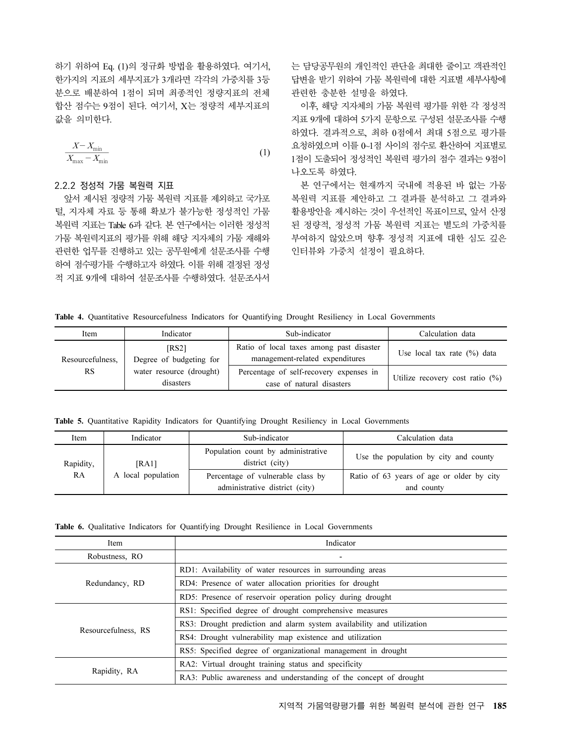하기 위하여 Eq. (1)의 정규화 방법을 활용하였다. 여기서, 한가지의 지표의 세부지표가 3개라면 각각의 가중치를 3등 분으로 배분하여 1점이 되며 최종적인 정량지표의 전체<br>합산 점수는 9점이 된다. 여기서, X는 정량적 세부지표의<br>값을 의미한다.<br><u>X-X<sub>min</sub> (1)</u> 합산 점수는 9점이 된다. 여기서, X는 정량적 세부지표의<br>값을 의미한다.<br> $\frac{X-X_{\min}}{X_{\max}-X_{\min}}$  (1) 값을 의미한다.

$$
\frac{X - X_{\min}}{X_{\max} - X_{\min}}\tag{1}
$$

#### 2.2.2 정성적 가뭄 복원력 지표

앞서 제시된 정량적 가뭄 복원력 지표를 제외하고 국가포 털, 지자체 자료 등 통해 확보가 불가능한 정성적인 가뭄 복원력 지표는 Table 6과 같다. 본 연구에서는 이러한 정성적 가뭄 복원력지표의 평가를 위해 해당 지자체의 가뭄 재해와 관련한 업무를 진행하고 있는 공무원에게 설문조사를 수행 하여 점수평가를 수행하고자 하였다. 이를 위해 결정된 정성 적 지표 9개에 대하여 설문조사를 수행하였다. 설문조사서

는 담당공무원의 개인적인 판단을 최대한 줄이고 객관적인 답변을 받기 위하여 가뭄 복원력에 대한 지표별 세부사항에 관련한 충분한 설명을 하였다.

이후, 해당 지자체의 가뭄 복원력 평가를 위한 각 정성적 지표 9개에 대하여 5가지 문항으로 구성된 설문조사를 수행 하였다. 결과적으로, 최하 0점에서 최대 5점으로 평가를 요청하였으며 이를 0~1점 사이의 점수로 환산하여 지표별로 1점이 도출되어 정성적인 복원력 평가의 점수 결과는 9점이 나오도록 하였다.

본 연구에서는 현재까지 국내에 적용된 바 없는 가뭄 복원력 지표를 제안하고 그 결과를 분석하고 그 결과와 활용방안을 제시하는 것이 우선적인 목표이므로, 앞서 산정 된 정량적, 정성적 가뭄 복원력 지표는 별도의 가중치를 부여하지 않았으며 향후 정성적 지표에 대한 심도 깊은 인터뷰와 가중치 설정이 필요하다.

Table 4. Quantitative Resourcefulness Indicators for Quantifying Drought Resiliency in Local Governments

| Item             | Indicator                             | Sub-indicator                                                               | Calculation data                   |
|------------------|---------------------------------------|-----------------------------------------------------------------------------|------------------------------------|
| Resourcefulness, | FRS21<br>Degree of budgeting for      | Ratio of local taxes among past disaster<br>management-related expenditures | Use local tax rate $(\%)$ data     |
| <b>RS</b>        | water resource (drought)<br>disasters | Percentage of self-recovery expenses in<br>case of natural disasters        | Utilize recovery cost ratio $(\%)$ |

Table 5. Quantitative Rapidity Indicators for Quantifying Drought Resiliency in Local Governments

| Item      | Indicator          | Sub-indicator                                         | Calculation data                          |
|-----------|--------------------|-------------------------------------------------------|-------------------------------------------|
| Rapidity, | [RA1]              | Population count by administrative<br>district (city) | Use the population by city and county     |
| RA        | A local population | Percentage of vulnerable class by                     | Ratio of 63 years of age or older by city |
|           |                    | administrative district (city)                        | and county                                |

Table 6. Qualitative Indicators for Quantifying Drought Resilience in Local Governments

| Item                | Indicator                                                             |  |  |  |  |  |
|---------------------|-----------------------------------------------------------------------|--|--|--|--|--|
| Robustness, RO      | $\overline{\phantom{a}}$                                              |  |  |  |  |  |
|                     | RD1: Availability of water resources in surrounding areas             |  |  |  |  |  |
| Redundancy, RD      | RD4: Presence of water allocation priorities for drought              |  |  |  |  |  |
|                     | RD5: Presence of reservoir operation policy during drought            |  |  |  |  |  |
|                     | RS1: Specified degree of drought comprehensive measures               |  |  |  |  |  |
|                     | RS3: Drought prediction and alarm system availability and utilization |  |  |  |  |  |
| Resourcefulness, RS | RS4: Drought vulnerability map existence and utilization              |  |  |  |  |  |
|                     | RS5: Specified degree of organizational management in drought         |  |  |  |  |  |
|                     | RA2: Virtual drought training status and specificity                  |  |  |  |  |  |
| Rapidity, RA        | RA3: Public awareness and understanding of the concept of drought     |  |  |  |  |  |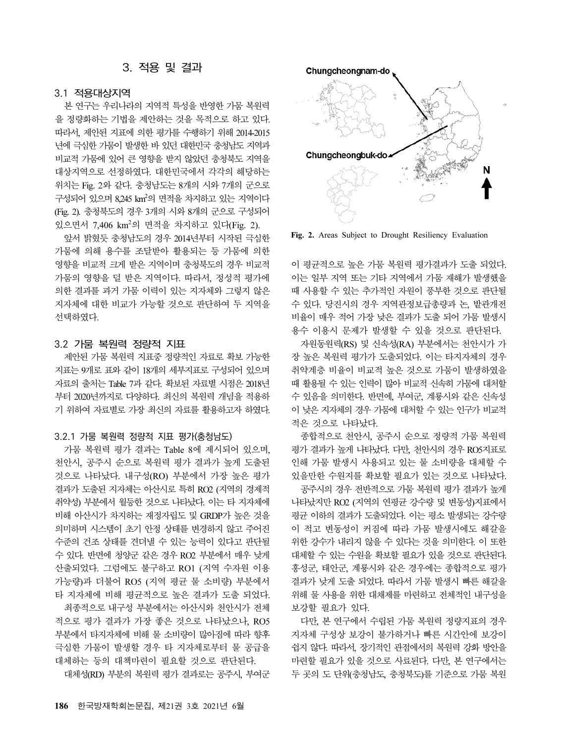## 3. 적용 및 결과

## 3.1 적용대상지역

본 연구는 우리나라의 지역적 특성을 반영한 가뭄 복원력 을 정량화하는 기법을 제안하는 것을 목적으로 하고 있다. 따라서, 제안된 지표에 의한 평가를 수행하기 위해 2014-2015 년에 극심한 가뭄이 발생한 바 있던 대한민국 충청남도 지역과 비교적 가뭄에 있어 큰 영향을 받지 않았던 충청북도 지역을 대상지역으로 선정하였다. 대한민국에서 각각의 해당하는 위치는 Fig. 2와 같다. 충청남도는 8개의 시와 7개의 군으로 구성되어 있으며 8,245 km<sup>2</sup>의 면적을 차지하고 있는 지역이다 (Fig. 2). 충청북도의 경우 3개의 시와 8개의 군으로 구성되어 있으면서 7,406 km<sup>2</sup>의 면적을 차지하고 있다(Fig. 2).

앞서 밝혔듯 충청남도의 경우 2014년부터 시작된 극심한 가뭄에 의해 용수를 조달받아 활용되는 등 가뭄에 의한 영향을 비교적 크게 받은 지역이며 충청북도의 경우 비교적 가뭄의 영향을 덜 받은 지역이다. 따라서, 정성적 평가에 의한 결과를 과거 가뭄 이력이 있는 지자체와 그렇지 않은 지자체에 대한 비교가 가능할 것으로 판단하여 두 지역을 선택하였다.

#### 3.2 가뭄 복원력 정량적 지표

제안된 가뭄 복원력 지표중 정량적인 자료로 확보 가능한 지표는 9개로 표와 같이 18개의 세부지표로 구성되어 있으며 자료의 출처는 Table 7과 같다. 확보된 자료별 시점은 2018년 부터 2020년까지로 다양하다. 최신의 복원력 개념을 적용하 기 위하여 자료별로 가장 최신의 자료를 활용하고자 하였다.

#### 3.2.1 가뭄 복원력 정량적 지표 평가(충청남도)

가뭄 복원력 평가 결과는 Table 8에 제시되어 있으며, 천안시, 공주시 순으로 복원력 평가 결과가 높게 도출된 것으로 나타났다. 내구성(RO) 부분에서 가장 높은 평가 결과가 도출된 지자체는 아산시로 특히 RO2 (지역의 경제적 취약성) 부분에서 월등한 것으로 나타났다. 이는 타 지자체에 비해 아산시가 차지하는 재정자립도 및 GRDP가 높은 것을 의미하며 시스템이 초기 안정 상태를 변경하지 않고 주어진 수준의 건조 상태를 견뎌낼 수 있는 능력이 있다고 판단될 수 있다. 반면에 청양군 같은 경우 RO2 부분에서 매우 낮게 산출되었다. 그럼에도 불구하고 RO1 (지역 수자원 이용 가능량)과 더불어 RO5 (지역 평균 물 소비량) 부분에서 타 지자체에 비해 평균적으로 높은 결과가 도출 되었다. 최종적으로 내구성 부분에서는 아산시와 천안시가 전체 적으로 평가 결과가 가장 좋은 것으로 나타났으나, RO5 부분에서 타지자체에 비해 물 소비량이 많아짐에 따라 향후 극심한 가뭄이 발생할 경우 타 지자체로부터 물 공급을 대체하는 등의 대책마련이 필요할 것으로 판단된다.

대체성(RD) 부분의 복원력 평가 결과로는 공주시, 부여군



Fig. 2. Areas Subject to Drought Resiliency Evaluation

이 평균적으로 높은 가뭄 복원력 평가결과가 도출 되었다. 이는 일부 지역 또는 기타 지역에서 가뭄 재해가 발생했을 때 사용할 수 있는 추가적인 자원이 풍부한 것으로 판단될 수 있다. 당진시의 경우 지역관정보급총량과 논, 밭관개전 비율이 매우 적어 가장 낮은 결과가 도출 되어 가뭄 발생시 용수 이용시 문제가 발생할 수 있을 것으로 판단된다.

자원동원력(RS) 및 신속성(RA) 부분에서는 천안시가 가 장 높은 복원력 평가가 도출되었다. 이는 타지자체의 경우 취약계층 비율이 비교적 높은 것으로 가뭄이 발생하였을 때 활용될 수 있는 인력이 많아 비교적 신속히 가뭄에 대처할 수 있음을 의미한다. 반면에, 부여군, 계룡시와 같은 신속성 이 낮은 지자체의 경우 가뭄에 대처할 수 있는 인구가 비교적 적은 것으로 나타났다.

종합적으로 천안시, 공주시 순으로 정량적 가뭄 복원력 평가 결과가 높게 나타났다. 다만, 천안시의 경우 RO5지표로 인해 가뭄 발생시 사용되고 있는 물 소비량을 대체할 수 있을만한 수원지를 확보할 필요가 있는 것으로 나타났다.

공주시의 경우 전반적으로 가뭄 복원력 평가 결과가 높게 나타났지만 RO2 (지역의 연평균 강수량 및 변동성)지표에서 평균 이하의 결과가 도출되었다. 이는 평소 발생되는 강수량 이 적고 변동성이 커짐에 따라 가뭄 발생시에도 해갈을 위한 강수가 내리지 않을 수 있다는 것을 의미한다. 이 또한 대체할 수 있는 수원을 확보할 필요가 있을 것으로 판단된다. 홍성군, 태안군, 계룡시와 같은 경우에는 종합적으로 평가 결과가 낮게 도출 되었다. 따라서 가뭄 발생시 빠른 해갈을 위해 물 사용을 위한 대채제를 마련하고 전체적인 내구성을 보강할 필요가 있다.

다만, 본 연구에서 수립된 가뭄 복원력 정량지표의 경우 지자체 구성상 보강이 불가하거나 빠른 시간안에 보강이 쉽지 않다. 따라서, 장기적인 관점에서의 복원력 강화 방안을 마련할 필요가 있을 것으로 사료된다. 다만, 본 연구에서는 두 곳의 도 단위(충청남도, 충청북도)를 기준으로 가뭄 복원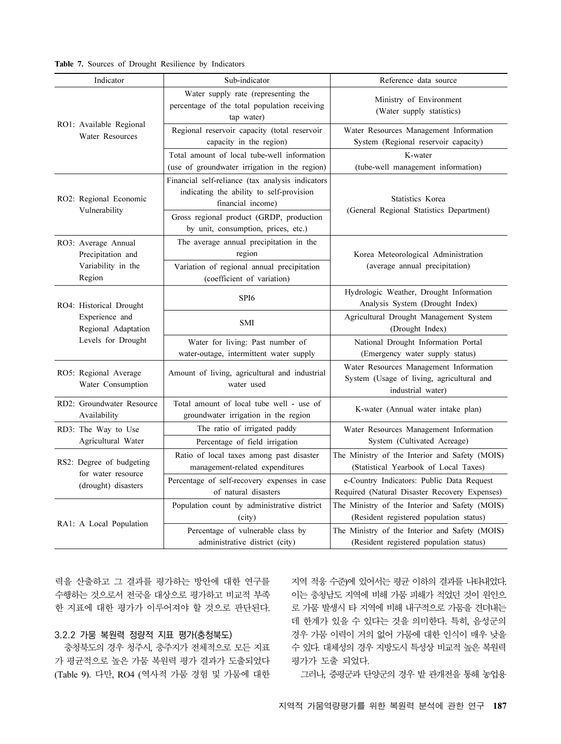|  |  |  |  |  | Table 7. Sources of Drought Resilience by Indicators |  |  |
|--|--|--|--|--|------------------------------------------------------|--|--|
|--|--|--|--|--|------------------------------------------------------|--|--|

| Indicator                                      | Sub-indicator                                                                                                     | Reference data source                                                                                    |  |  |  |
|------------------------------------------------|-------------------------------------------------------------------------------------------------------------------|----------------------------------------------------------------------------------------------------------|--|--|--|
|                                                | Water supply rate (representing the<br>percentage of the total population receiving<br>tap water)                 | Ministry of Environment<br>(Water supply statistics)                                                     |  |  |  |
| RO1: Available Regional<br>Water Resources     | Regional reservoir capacity (total reservoir<br>capacity in the region)                                           | Water Resources Management Information<br>System (Regional reservoir capacity)                           |  |  |  |
|                                                | Total amount of local tube-well information<br>(use of groundwater irrigation in the region)                      | K-water<br>(tube-well management information)                                                            |  |  |  |
| RO2: Regional Economic                         | Financial self-reliance (tax analysis indicators<br>indicating the ability to self-provision<br>financial income) | <b>Statistics Korea</b>                                                                                  |  |  |  |
| Vulnerability                                  | Gross regional product (GRDP, production<br>by unit, consumption, prices, etc.)                                   | (General Regional Statistics Department)                                                                 |  |  |  |
| RO3: Average Annual<br>Precipitation and       | The average annual precipitation in the<br>region                                                                 | Korea Meteorological Administration                                                                      |  |  |  |
| Variability in the<br>Region                   | Variation of regional annual precipitation<br>(coefficient of variation)                                          | (average annual precipitation)                                                                           |  |  |  |
| RO4: Historical Drought                        | SP <sub>I6</sub>                                                                                                  | Hydrologic Weather, Drought Information<br>Analysis System (Drought Index)                               |  |  |  |
| Experience and<br>Regional Adaptation          | <b>SMI</b>                                                                                                        | Agricultural Drought Management System<br>(Drought Index)                                                |  |  |  |
| Levels for Drought                             | Water for living: Past number of<br>water-outage, intermittent water supply                                       | National Drought Information Portal<br>(Emergency water supply status)                                   |  |  |  |
| RO5: Regional Average<br>Water Consumption     | Amount of living, agricultural and industrial<br>water used                                                       | Water Resources Management Information<br>System (Usage of living, agricultural and<br>industrial water) |  |  |  |
| RD2: Groundwater Resource<br>Availability      | Total amount of local tube well - use of<br>groundwater irrigation in the region                                  | K-water (Annual water intake plan)                                                                       |  |  |  |
| RD3: The Way to Use                            | The ratio of irrigated paddy                                                                                      | Water Resources Management Information                                                                   |  |  |  |
| Agricultural Water                             | Percentage of field irrigation                                                                                    | System (Cultivated Acreage)                                                                              |  |  |  |
| RS2: Degree of budgeting<br>for water resource | Ratio of local taxes among past disaster<br>management-related expenditures                                       | The Ministry of the Interior and Safety (MOIS)<br>(Statistical Yearbook of Local Taxes)                  |  |  |  |
| (drought) disasters                            | Percentage of self-recovery expenses in case<br>of natural disasters                                              | e-Country Indicators: Public Data Request<br>Required (Natural Disaster Recovery Expenses)               |  |  |  |
|                                                | Population count by administrative district<br>(city)                                                             | The Ministry of the Interior and Safety (MOIS)<br>(Resident registered population status)                |  |  |  |
| RA1: A Local Population                        | Percentage of vulnerable class by<br>administrative district (city)                                               | The Ministry of the Interior and Safety (MOIS)<br>(Resident registered population status)                |  |  |  |

력을 산출하고 그 결과를 평가하는 방안에 대한 연구를 수행하는 것으로서 전국을 대상으로 평가하고 비교적 부족 한 지표에 대한 평가가 이루어져야 할 것으로 판단된다.

## 3.2.2 가뭄 복원력 정량적 지표 평가(충청북도)

충청북도의 경우 청주시, 충주지가 전체적으로 모든 지표 가 평균적으로 높은 가뭄 복원력 평가 결과가 도출되었다 (Table 9). 다만, RO4 (역사적 가뭄 경험 및 가뭄에 대한 지역 적응 수준)에 있어서는 평균 이하의 결과를 나타내었다. 이는 충청남도 지역에 비해 가뭄 피해가 적었던 것이 원인으 로 가뭄 발생시 타 지역에 비해 내구적으로 가뭄을 견뎌내는 데 한계가 있을 수 있다는 것을 의미한다. 특히, 음성군의 경우 가뭄 이력이 거의 없어 가뭄에 대한 인식이 매우 낮을 수 있다. 대체성의 경우 지방도시 특성상 비교적 높은 복원력 평가가 도출 되었다.

그러나, 증평군과 단양군의 경우 밭 관개전을 통해 농업용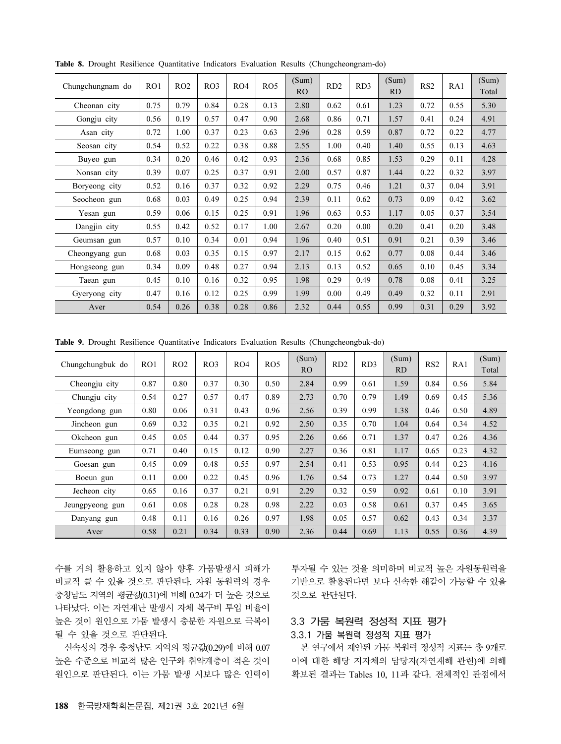| Chungchungnam do | RO1  | RO2  | RO3  | RO4  | RO <sub>5</sub> | (Sum)<br>R <sub>O</sub> | RD <sub>2</sub> | RD3  | (Sum)<br><b>RD</b> | RS <sub>2</sub> | RA1  | (Sum)<br>Total |
|------------------|------|------|------|------|-----------------|-------------------------|-----------------|------|--------------------|-----------------|------|----------------|
| Cheonan city     | 0.75 | 0.79 | 0.84 | 0.28 | 0.13            | 2.80                    | 0.62            | 0.61 | 1.23               | 0.72            | 0.55 | 5.30           |
| Gongju city      | 0.56 | 0.19 | 0.57 | 0.47 | 0.90            | 2.68                    | 0.86            | 0.71 | 1.57               | 0.41            | 0.24 | 4.91           |
| Asan city        | 0.72 | 1.00 | 0.37 | 0.23 | 0.63            | 2.96                    | 0.28            | 0.59 | 0.87               | 0.72            | 0.22 | 4.77           |
| Seosan city      | 0.54 | 0.52 | 0.22 | 0.38 | 0.88            | 2.55                    | 1.00            | 0.40 | 1.40               | 0.55            | 0.13 | 4.63           |
| Buyeo gun        | 0.34 | 0.20 | 0.46 | 0.42 | 0.93            | 2.36                    | 0.68            | 0.85 | 1.53               | 0.29            | 0.11 | 4.28           |
| Nonsan city      | 0.39 | 0.07 | 0.25 | 0.37 | 0.91            | 2.00                    | 0.57            | 0.87 | 1.44               | 0.22            | 0.32 | 3.97           |
| Boryeong city    | 0.52 | 0.16 | 0.37 | 0.32 | 0.92            | 2.29                    | 0.75            | 0.46 | 1.21               | 0.37            | 0.04 | 3.91           |
| Seocheon gun     | 0.68 | 0.03 | 0.49 | 0.25 | 0.94            | 2.39                    | 0.11            | 0.62 | 0.73               | 0.09            | 0.42 | 3.62           |
| Yesan gun        | 0.59 | 0.06 | 0.15 | 0.25 | 0.91            | 1.96                    | 0.63            | 0.53 | 1.17               | 0.05            | 0.37 | 3.54           |
| Dangjin city     | 0.55 | 0.42 | 0.52 | 0.17 | 1.00            | 2.67                    | 0.20            | 0.00 | 0.20               | 0.41            | 0.20 | 3.48           |
| Geumsan gun      | 0.57 | 0.10 | 0.34 | 0.01 | 0.94            | 1.96                    | 0.40            | 0.51 | 0.91               | 0.21            | 0.39 | 3.46           |
| Cheongyang gun   | 0.68 | 0.03 | 0.35 | 0.15 | 0.97            | 2.17                    | 0.15            | 0.62 | 0.77               | 0.08            | 0.44 | 3.46           |
| Hongseong gun    | 0.34 | 0.09 | 0.48 | 0.27 | 0.94            | 2.13                    | 0.13            | 0.52 | 0.65               | 0.10            | 0.45 | 3.34           |
| Taean gun        | 0.45 | 0.10 | 0.16 | 0.32 | 0.95            | 1.98                    | 0.29            | 0.49 | 0.78               | 0.08            | 0.41 | 3.25           |
| Gyeryong city    | 0.47 | 0.16 | 0.12 | 0.25 | 0.99            | 1.99                    | 0.00            | 0.49 | 0.49               | 0.32            | 0.11 | 2.91           |
| Aver             | 0.54 | 0.26 | 0.38 | 0.28 | 0.86            | 2.32                    | 0.44            | 0.55 | 0.99               | 0.31            | 0.29 | 3.92           |

Table 8. Drought Resilience Quantitative Indicators Evaluation Results (Chungcheongnam-do)

Table 9. Drought Resilience Quantitative Indicators Evaluation Results (Chungcheongbuk-do)

| Chungchungbuk do | RO1  | RO2  | RO3  | RO4  | RO5  | (Sum)<br>R <sub>O</sub> | RD2  | RD3  | (Sum)<br>R <sub>D</sub> | RS <sub>2</sub> | RA1  | (Sum)<br>Total |
|------------------|------|------|------|------|------|-------------------------|------|------|-------------------------|-----------------|------|----------------|
| Cheongju city    | 0.87 | 0.80 | 0.37 | 0.30 | 0.50 | 2.84                    | 0.99 | 0.61 | 1.59                    | 0.84            | 0.56 | 5.84           |
| Chungju city     | 0.54 | 0.27 | 0.57 | 0.47 | 0.89 | 2.73                    | 0.70 | 0.79 | 1.49                    | 0.69            | 0.45 | 5.36           |
| Yeongdong gun    | 0.80 | 0.06 | 0.31 | 0.43 | 0.96 | 2.56                    | 0.39 | 0.99 | 1.38                    | 0.46            | 0.50 | 4.89           |
| Jincheon gun     | 0.69 | 0.32 | 0.35 | 0.21 | 0.92 | 2.50                    | 0.35 | 0.70 | 1.04                    | 0.64            | 0.34 | 4.52           |
| Okcheon gun      | 0.45 | 0.05 | 0.44 | 0.37 | 0.95 | 2.26                    | 0.66 | 0.71 | 1.37                    | 0.47            | 0.26 | 4.36           |
| Eumseong gun     | 0.71 | 0.40 | 0.15 | 0.12 | 0.90 | 2.27                    | 0.36 | 0.81 | 1.17                    | 0.65            | 0.23 | 4.32           |
| Goesan gun       | 0.45 | 0.09 | 0.48 | 0.55 | 0.97 | 2.54                    | 0.41 | 0.53 | 0.95                    | 0.44            | 0.23 | 4.16           |
| Boeun gun        | 0.11 | 0.00 | 0.22 | 0.45 | 0.96 | 1.76                    | 0.54 | 0.73 | 1.27                    | 0.44            | 0.50 | 3.97           |
| Jecheon city     | 0.65 | 0.16 | 0.37 | 0.21 | 0.91 | 2.29                    | 0.32 | 0.59 | 0.92                    | 0.61            | 0.10 | 3.91           |
| Jeungpyeong gun  | 0.61 | 0.08 | 0.28 | 0.28 | 0.98 | 2.22                    | 0.03 | 0.58 | 0.61                    | 0.37            | 0.45 | 3.65           |
| Danyang gun      | 0.48 | 0.11 | 0.16 | 0.26 | 0.97 | 1.98                    | 0.05 | 0.57 | 0.62                    | 0.43            | 0.34 | 3.37           |
| Aver             | 0.58 | 0.21 | 0.34 | 0.33 | 0.90 | 2.36                    | 0.44 | 0.69 | 1.13                    | 0.55            | 0.36 | 4.39           |

수를 거의 활용하고 있지 않아 향후 가뭄발생시 피해가 비교적 클 수 있을 것으로 판단된다. 자원 동원력의 경우 충청남도 지역의 평균값(0.31)에 비해 0.24가 더 높은 것으로 나타났다. 이는 자연재난 발생시 자체 복구비 투입 비율이 높은 것이 원인으로 가뭄 발생시 충분한 자원으로 극복이 될 수 있을 것으로 판단된다.

신속성의 경우 충청남도 지역의 평균값(0.29)에 비해 0.07 높은 수준으로 비교적 많은 인구와 취약계층이 적은 것이 원인으로 판단된다. 이는 가뭄 발생 시보다 많은 인력이

투자될 수 있는 것을 의미하며 비교적 높은 자원동원력을 기반으로 활용된다면 보다 신속한 해갈이 가능할 수 있을 것으로 판단된다.

## 3.3 가뭄 복원력 정성적 지표 평가

### 3.3.1 가뭄 복원력 정성적 지표 평가

본 연구에서 제안된 가뭄 복원력 정성적 지표는 총 9개로 이에 대한 해당 지자체의 담당자(자연재해 관련)에 의해 확보된 결과는 Tables 10, 11과 같다. 전체적인 관점에서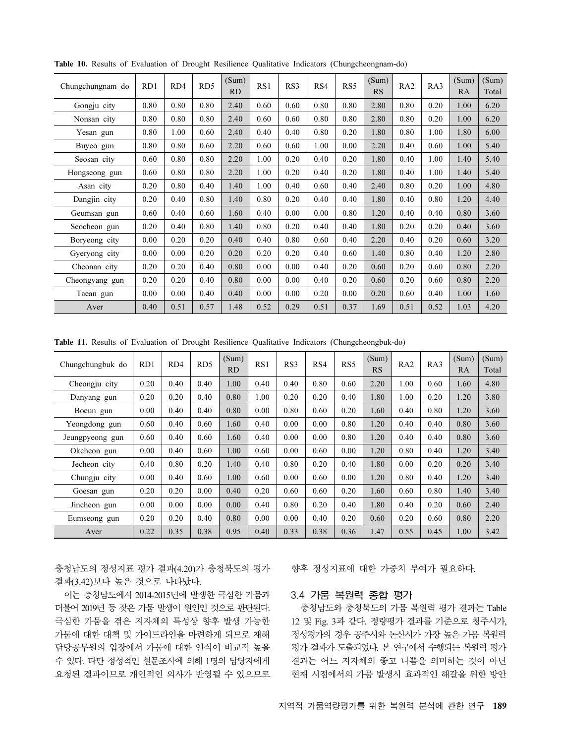| Chungchungnam do | RD1  | RD4  | RD <sub>5</sub> | (Sum)<br>RD | RS1  | RS3  | RS4  | RS <sub>5</sub> | (Sum)<br>RS | RA <sub>2</sub> | RA3  | (Sum)<br><b>RA</b> | (Sum)<br>Total |
|------------------|------|------|-----------------|-------------|------|------|------|-----------------|-------------|-----------------|------|--------------------|----------------|
| Gongju city      | 0.80 | 0.80 | 0.80            | 2.40        | 0.60 | 0.60 | 0.80 | 0.80            | 2.80        | 0.80            | 0.20 | 1.00               | 6.20           |
| Nonsan city      | 0.80 | 0.80 | 0.80            | 2.40        | 0.60 | 0.60 | 0.80 | 0.80            | 2.80        | 0.80            | 0.20 | 1.00               | 6.20           |
| Yesan gun        | 0.80 | 1.00 | 0.60            | 2.40        | 0.40 | 0.40 | 0.80 | 0.20            | 1.80        | 0.80            | 1.00 | 1.80               | 6.00           |
| Buyeo gun        | 0.80 | 0.80 | 0.60            | 2.20        | 0.60 | 0.60 | 1.00 | 0.00            | 2.20        | 0.40            | 0.60 | 1.00               | 5.40           |
| Seosan city      | 0.60 | 0.80 | 0.80            | 2.20        | 1.00 | 0.20 | 0.40 | 0.20            | 1.80        | 0.40            | 1.00 | 1.40               | 5.40           |
| Hongseong gun    | 0.60 | 0.80 | 0.80            | 2.20        | 1.00 | 0.20 | 0.40 | 0.20            | 1.80        | 0.40            | 1.00 | 1.40               | 5.40           |
| Asan city        | 0.20 | 0.80 | 0.40            | 1.40        | 1.00 | 0.40 | 0.60 | 0.40            | 2.40        | 0.80            | 0.20 | 1.00               | 4.80           |
| Dangjin city     | 0.20 | 0.40 | 0.80            | 1.40        | 0.80 | 0.20 | 0.40 | 0.40            | 1.80        | 0.40            | 0.80 | 1.20               | 4.40           |
| Geumsan gun      | 0.60 | 0.40 | 0.60            | 1.60        | 0.40 | 0.00 | 0.00 | 0.80            | 1.20        | 0.40            | 0.40 | 0.80               | 3.60           |
| Seocheon gun     | 0.20 | 0.40 | 0.80            | 1.40        | 0.80 | 0.20 | 0.40 | 0.40            | 1.80        | 0.20            | 0.20 | 0.40               | 3.60           |
| Boryeong city    | 0.00 | 0.20 | 0.20            | 0.40        | 0.40 | 0.80 | 0.60 | 0.40            | 2.20        | 0.40            | 0.20 | 0.60               | 3.20           |
| Gyeryong city    | 0.00 | 0.00 | 0.20            | 0.20        | 0.20 | 0.20 | 0.40 | 0.60            | 1.40        | 0.80            | 0.40 | 1.20               | 2.80           |
| Cheonan city     | 0.20 | 0.20 | 0.40            | 0.80        | 0.00 | 0.00 | 0.40 | 0.20            | 0.60        | 0.20            | 0.60 | 0.80               | 2.20           |
| Cheongyang gun   | 0.20 | 0.20 | 0.40            | 0.80        | 0.00 | 0.00 | 0.40 | 0.20            | 0.60        | 0.20            | 0.60 | 0.80               | 2.20           |
| Taean gun        | 0.00 | 0.00 | 0.40            | 0.40        | 0.00 | 0.00 | 0.20 | 0.00            | 0.20        | 0.60            | 0.40 | 1.00               | 1.60           |
| Aver             | 0.40 | 0.51 | 0.57            | 1.48        | 0.52 | 0.29 | 0.51 | 0.37            | 1.69        | 0.51            | 0.52 | 1.03               | 4.20           |

Table 10. Results of Evaluation of Drought Resilience Qualitative Indicators (Chungcheongnam-do)

Table 11. Results of Evaluation of Drought Resilience Qualitative Indicators (Chungcheongbuk-do)

| Chungchungbuk do | RD1  | RD4  | RD <sub>5</sub> | (Sum)<br><b>RD</b> | RS1  | RS3  | RS4  | RS5  | (Sum)<br>RS | RA <sub>2</sub> | RA3  | (Sum)<br>RA | (Sum)<br>Total |
|------------------|------|------|-----------------|--------------------|------|------|------|------|-------------|-----------------|------|-------------|----------------|
| Cheongju city    | 0.20 | 0.40 | 0.40            | 1.00               | 0.40 | 0.40 | 0.80 | 0.60 | 2.20        | 1.00            | 0.60 | 1.60        | 4.80           |
| Danyang gun      | 0.20 | 0.20 | 0.40            | 0.80               | 1.00 | 0.20 | 0.20 | 0.40 | 1.80        | 1.00            | 0.20 | 1.20        | 3.80           |
| Boeun gun        | 0.00 | 0.40 | 0.40            | 0.80               | 0.00 | 0.80 | 0.60 | 0.20 | 1.60        | 0.40            | 0.80 | 1.20        | 3.60           |
| Yeongdong gun    | 0.60 | 0.40 | 0.60            | 1.60               | 0.40 | 0.00 | 0.00 | 0.80 | 1.20        | 0.40            | 0.40 | 0.80        | 3.60           |
| Jeungpyeong gun  | 0.60 | 0.40 | 0.60            | 1.60               | 0.40 | 0.00 | 0.00 | 0.80 | 1.20        | 0.40            | 0.40 | 0.80        | 3.60           |
| Okcheon gun      | 0.00 | 0.40 | 0.60            | 1.00               | 0.60 | 0.00 | 0.60 | 0.00 | 1.20        | 0.80            | 0.40 | 1.20        | 3.40           |
| Jecheon city     | 0.40 | 0.80 | 0.20            | 1.40               | 0.40 | 0.80 | 0.20 | 0.40 | 1.80        | 0.00            | 0.20 | 0.20        | 3.40           |
| Chungju city     | 0.00 | 0.40 | 0.60            | 1.00               | 0.60 | 0.00 | 0.60 | 0.00 | 1.20        | 0.80            | 0.40 | 1.20        | 3.40           |
| Goesan gun       | 0.20 | 0.20 | 0.00            | 0.40               | 0.20 | 0.60 | 0.60 | 0.20 | 1.60        | 0.60            | 0.80 | 1.40        | 3.40           |
| Jincheon gun     | 0.00 | 0.00 | 0.00            | 0.00               | 0.40 | 0.80 | 0.20 | 0.40 | 1.80        | 0.40            | 0.20 | 0.60        | 2.40           |
| Eumseong gun     | 0.20 | 0.20 | 0.40            | 0.80               | 0.00 | 0.00 | 0.40 | 0.20 | 0.60        | 0.20            | 0.60 | 0.80        | 2.20           |
| Aver             | 0.22 | 0.35 | 0.38            | 0.95               | 0.40 | 0.33 | 0.38 | 0.36 | 1.47        | 0.55            | 0.45 | 1.00        | 3.42           |

충청남도의 정성지표 평가 결과(4.20)가 충청북도의 평가 결과(3.42)보다 높은 것으로 나타났다.

이는 충청남도에서 2014-2015년에 발생한 극심한 가뭄과 더불어 2019년 등 잦은 가뭄 발생이 원인인 것으로 판단된다. 극심한 가뭄을 겪은 지자체의 특성상 향후 발생 가능한 가뭄에 대한 대책 및 가이드라인을 마련하게 되므로 재해 담당공무원의 입장에서 가뭄에 대한 인식이 비교적 높을 수 있다. 다만 정성적인 설문조사에 의해 1명의 담당자에게 요청된 결과이므로 개인적인 의사가 반영될 수 있으므로

향후 정성지표에 대한 가중치 부여가 필요하다.

#### 3.4 가뭄 복원력 종합 평가

충청남도와 충청북도의 가뭄 복원력 평가 결과는 Table 12 및 Fig. 3과 같다. 정량평가 결과를 기준으로 청주시가, 정성평가의 경우 공주시와 논산시가 가장 높은 가뭄 복원력 평가 결과가 도출되었다. 본 연구에서 수행되는 복원력 평가 결과는 어느 지자체의 좋고 나쁨을 의미하는 것이 아닌 현재 시점에서의 가뭄 발생시 효과적인 해갈을 위한 방안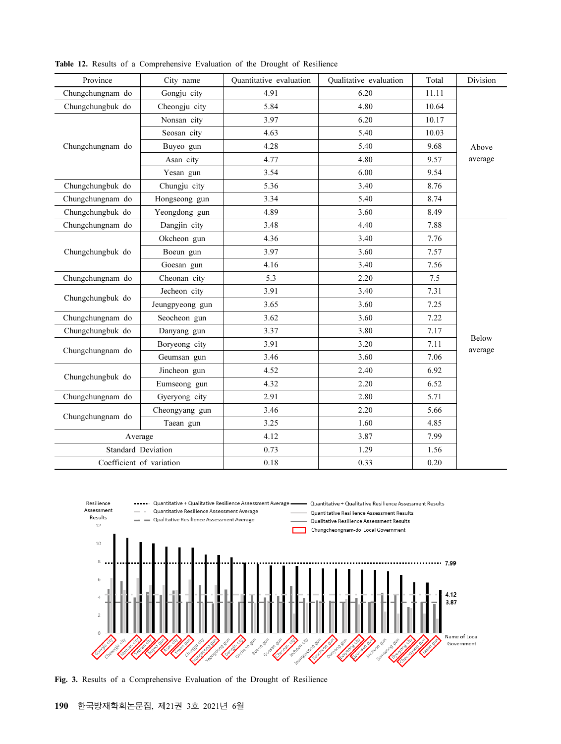| Province                  | City name       | Quantitative evaluation | Qualitative evaluation | Total | Division                |  |
|---------------------------|-----------------|-------------------------|------------------------|-------|-------------------------|--|
| Chungchungnam do          | Gongju city     | 4.91                    | 6.20                   | 11.11 |                         |  |
| Chungchungbuk do          | Cheongju city   | 5.84                    | 4.80                   | 10.64 |                         |  |
|                           | Nonsan city     | 3.97                    | 6.20                   | 10.17 |                         |  |
|                           | Seosan city     | 4.63                    | 5.40                   | 10.03 |                         |  |
| Chungchungnam do          | Buyeo gun       | 4.28                    | 5.40                   | 9.68  | Above                   |  |
|                           | Asan city       | 4.77                    | 4.80                   | 9.57  | average                 |  |
|                           | Yesan gun       | 3.54                    | 6.00                   | 9.54  |                         |  |
| Chungchungbuk do          | Chungju city    | 5.36                    | 3.40                   | 8.76  |                         |  |
| Chungchungnam do          | Hongseong gun   | 3.34                    | 5.40                   | 8.74  |                         |  |
| Chungchungbuk do          | Yeongdong gun   | 4.89                    | 3.60                   | 8.49  |                         |  |
| Chungchungnam do          | Dangjin city    | 3.48                    | 4.40                   | 7.88  |                         |  |
|                           | Okcheon gun     | 4.36                    | 3.40                   | 7.76  |                         |  |
| Chungchungbuk do          | Boeun gun       | 3.97                    | 3.60                   | 7.57  |                         |  |
|                           | Goesan gun      | 4.16                    | 3.40                   | 7.56  |                         |  |
| Chungchungnam do          | Cheonan city    | 5.3                     | 2.20                   | 7.5   |                         |  |
|                           | Jecheon city    | 3.91                    | 3.40                   | 7.31  |                         |  |
| Chungchungbuk do          | Jeungpyeong gun | 3.65                    | 3.60                   | 7.25  |                         |  |
| Chungchungnam do          | Seocheon gun    | 3.62                    | 3.60                   | 7.22  |                         |  |
| Chungchungbuk do          | Danyang gun     | 3.37                    | 3.80                   | 7.17  |                         |  |
|                           | Boryeong city   | 3.91                    | 3.20                   | 7.11  | <b>Below</b><br>average |  |
| Chungchungnam do          | Geumsan gun     | 3.46                    | 3.60                   | 7.06  |                         |  |
|                           | Jincheon gun    | 4.52                    | 2.40                   | 6.92  |                         |  |
| Chungchungbuk do          | Eumseong gun    | 4.32                    | 2.20                   | 6.52  |                         |  |
| Chungchungnam do          | Gyeryong city   | 2.91                    | 2.80                   | 5.71  |                         |  |
| Chungchungnam do          | Cheongyang gun  | 3.46                    | 2.20                   | 5.66  |                         |  |
|                           | Taean gun       | 3.25                    | 1.60                   | 4.85  |                         |  |
| Average                   |                 | 4.12                    | 3.87                   | 7.99  |                         |  |
| <b>Standard Deviation</b> |                 | 0.73                    | 1.29                   | 1.56  |                         |  |
| Coefficient of variation  |                 | 0.18                    | 0.33                   | 0.20  |                         |  |

Table 12. Results of a Comprehensive Evaluation of the Drought of Resilience



Fig. 3. Results of a Comprehensive Evaluation of the Drought of Resilience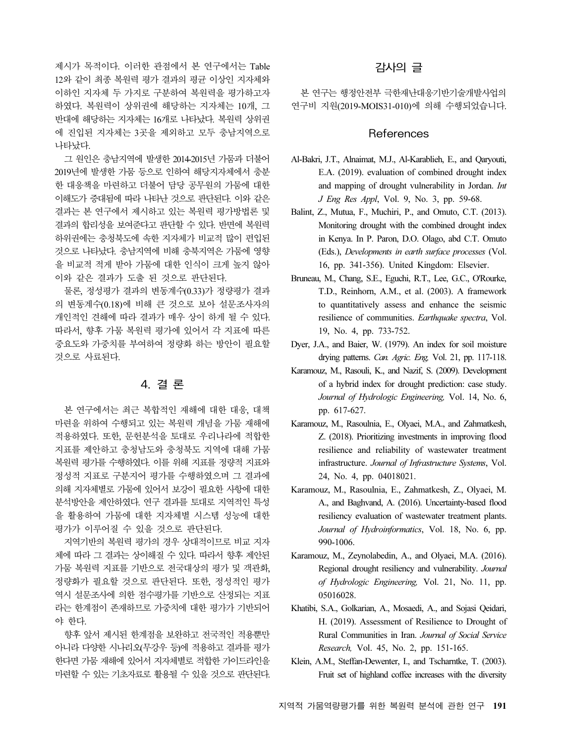제시가 목적이다. 이러한 관점에서 본 연구에서는 Table 12와 같이 최종 복원력 평가 결과의 평균 이상인 지자체와 이하인 지자체 두 가지로 구분하여 복원력을 평가하고자 하였다. 복원력이 상위권에 해당하는 지자체는 10개, 그 반대에 해당하는 지자체는 16개로 나타났다. 복원력 상위권 에 진입된 지자체는 3곳을 제외하고 모두 충남지역으로 나타났다.

그 원인은 충남지역에 발생한 2014-2015년 가뭄과 더불어 2019년에 발생한 가뭄 등으로 인하여 해당지자체에서 충분 한 대응책을 마련하고 더불어 담당 공무원의 가뭄에 대한 이해도가 증대됨에 따라 나타난 것으로 판단된다. 이와 같은 결과는 본 연구에서 제시하고 있는 복원력 평가방법론 및 결과의 합리성을 보여준다고 판단할 수 있다. 반면에 복원력 하위권에는 충청북도에 속한 지자체가 비교적 많이 편입된 것으로 나타났다. 충남지역에 비해 충북지역은 가뭄에 영향 을 비교적 적게 받아 가뭄에 대한 인식이 크게 높지 않아 이와 같은 결과가 도출 된 것으로 판단된다.

물론, 정성평가 결과의 변동계수(0.33)가 정량평가 결과 의 변동계수(0.18)에 비해 큰 것으로 보아 설문조사자의 개인적인 견해에 따라 결과가 매우 상이 하게 될 수 있다. 따라서, 향후 가뭄 복원력 평가에 있어서 각 지표에 따른 중요도와 가중치를 부여하여 정량화 하는 방안이 필요할 것으로 사료된다.

## 4. 결 론

본 연구에서는 최근 복합적인 재해에 대한 대응, 대책 마련을 위하여 수행되고 있는 복원력 개념을 가뭄 재해에 적용하였다. 또한, 문헌분석을 토대로 우리나라에 적합한 지표를 제안하고 충청남도와 충청북도 지역에 대해 가뭄 복원력 평가를 수행하였다. 이를 위해 지표를 정량적 지표와 정성적 지표로 구분지어 평가를 수행하였으며 그 결과에 의해 지자체별로 가뭄에 있어서 보강이 필요한 사항에 대한 분석방안을 제안하였다. 연구 결과를 토대로 지역적인 특성 을 활용하여 가뭄에 대한 지자체별 시스템 성능에 대한 평가가 이루어질 수 있을 것으로 판단된다.

지역기반의 복원력 평가의 경우 상대적이므로 비교 지자 체에 따라 그 결과는 상이해질 수 있다. 따라서 향후 제안된 가뭄 복원력 지표를 기반으로 전국대상의 평가 및 객관화, 정량화가 필요할 것으로 판단된다. 또한, 정성적인 평가 역시 설문조사에 의한 점수평가를 기반으로 산정되는 지표 라는 한계점이 존재하므로 가중치에 대한 평가가 기반되어 야 한다.

향후 앞서 제시된 한계점을 보완하고 전국적인 적용뿐만 아니라 다양한 시나리오(무강우 등)에 적용하고 결과를 평가 한다면 가뭄 재해에 있어서 지자체별로 적합한 가이드라인을 마련할 수 있는 기초자료로 활용될 수 있을 것으로 판단된다.

# 감사의 글

본 연구는 행정안전부 극한재난대응기반기술개발사업의 연구비 지원(2019-MOIS31-010)에 의해 수행되었습니다.

## **References**

- Al-Bakri, J.T., Alnaimat, M.J., Al-Karablieh, E., and Qaryouti, E.A. (2019). evaluation of combined drought index and mapping of drought vulnerability in Jordan. Int J Eng Res Appl, Vol. 9, No. 3, pp. 59-68.
- Balint, Z., Mutua, F., Muchiri, P., and Omuto, C.T. (2013). Monitoring drought with the combined drought index in Kenya. In P. Paron, D.O. Olago, abd C.T. Omuto (Eds.), Developments in earth surface processes (Vol. 16, pp. 341-356). United Kingdom: Elsevier.
- Bruneau, M., Chang, S.E., Eguchi, R.T., Lee, G.C., O'Rourke, T.D., Reinhorn, A.M., et al. (2003). A framework to quantitatively assess and enhance the seismic resilience of communities. Earthquake spectra, Vol. 19, No. 4, pp. 733-752.
- Dyer, J.A., and Baier, W. (1979). An index for soil moisture drying patterns. Can. Agric. Eng, Vol. 21, pp. 117-118.
- Karamouz, M., Rasouli, K., and Nazif, S. (2009). Development of a hybrid index for drought prediction: case study. Journal of Hydrologic Engineering, Vol. 14, No. 6, pp. 617-627.
- Karamouz, M., Rasoulnia, E., Olyaei, M.A., and Zahmatkesh, Z. (2018). Prioritizing investments in improving flood resilience and reliability of wastewater treatment infrastructure. Journal of Infrastructure Systems, Vol. 24, No. 4, pp. 04018021.
- Karamouz, M., Rasoulnia, E., Zahmatkesh, Z., Olyaei, M. A., and Baghvand, A. (2016). Uncertainty-based flood resiliency evaluation of wastewater treatment plants. Journal of Hydroinformatics, Vol. 18, No. 6, pp. 990-1006.
- Karamouz, M., Zeynolabedin, A., and Olyaei, M.A. (2016). Regional drought resiliency and vulnerability. Journal of Hydrologic Engineering, Vol. 21, No. 11, pp. 05016028.
- Khatibi, S.A., Golkarian, A., Mosaedi, A., and Sojasi Qeidari, H. (2019). Assessment of Resilience to Drought of Rural Communities in Iran. Journal of Social Service Research, Vol. 45, No. 2, pp. 151-165.
- Klein, A.M., Steffan-Dewenter, I., and Tscharntke, T. (2003). Fruit set of highland coffee increases with the diversity